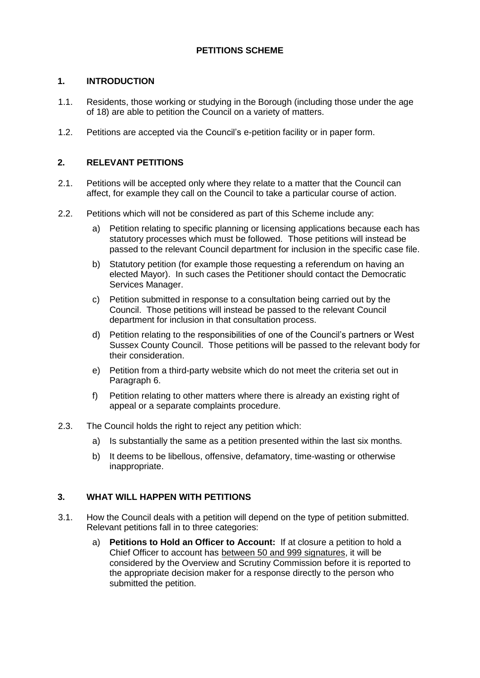# **PETITIONS SCHEME**

## **1. INTRODUCTION**

- 1.1. Residents, those working or studying in the Borough (including those under the age of 18) are able to petition the Council on a variety of matters.
- 1.2. Petitions are accepted via the Council's e-petition facility or in paper form.

### **2. RELEVANT PETITIONS**

- 2.1. Petitions will be accepted only where they relate to a matter that the Council can affect, for example they call on the Council to take a particular course of action.
- 2.2. Petitions which will not be considered as part of this Scheme include any:
	- a) Petition relating to specific planning or licensing applications because each has statutory processes which must be followed. Those petitions will instead be passed to the relevant Council department for inclusion in the specific case file.
	- b) Statutory petition (for example those requesting a referendum on having an elected Mayor). In such cases the Petitioner should contact the Democratic Services Manager.
	- c) Petition submitted in response to a consultation being carried out by the Council. Those petitions will instead be passed to the relevant Council department for inclusion in that consultation process.
	- d) Petition relating to the responsibilities of one of the Council's partners or West Sussex County Council. Those petitions will be passed to the relevant body for their consideration.
	- e) Petition from a third-party website which do not meet the criteria set out in Paragraph 6.
	- f) Petition relating to other matters where there is already an existing right of appeal or a separate complaints procedure.
- 2.3. The Council holds the right to reject any petition which:
	- a) Is substantially the same as a petition presented within the last six months.
	- b) It deems to be libellous, offensive, defamatory, time-wasting or otherwise inappropriate.

#### **3. WHAT WILL HAPPEN WITH PETITIONS**

- 3.1. How the Council deals with a petition will depend on the type of petition submitted. Relevant petitions fall in to three categories:
	- a) **Petitions to Hold an Officer to Account:** If at closure a petition to hold a Chief Officer to account has between 50 and 999 signatures, it will be considered by the Overview and Scrutiny Commission before it is reported to the appropriate decision maker for a response directly to the person who submitted the petition.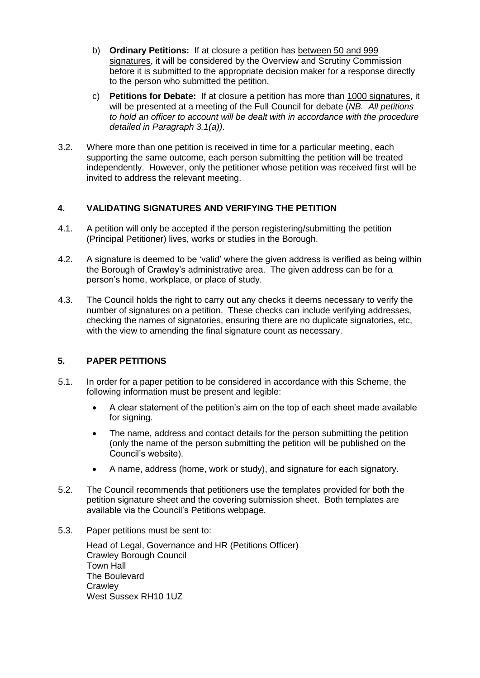- b) **Ordinary Petitions:** If at closure a petition has between 50 and 999 signatures, it will be considered by the Overview and Scrutiny Commission before it is submitted to the appropriate decision maker for a response directly to the person who submitted the petition.
- c) **Petitions for Debate:** If at closure a petition has more than 1000 signatures, it will be presented at a meeting of the Full Council for debate (*NB. All petitions to hold an officer to account will be dealt with in accordance with the procedure detailed in Paragraph 3.1(a))*.
- 3.2. Where more than one petition is received in time for a particular meeting, each supporting the same outcome, each person submitting the petition will be treated independently. However, only the petitioner whose petition was received first will be invited to address the relevant meeting.

# **4. VALIDATING SIGNATURES AND VERIFYING THE PETITION**

- 4.1. A petition will only be accepted if the person registering/submitting the petition (Principal Petitioner) lives, works or studies in the Borough.
- 4.2. A signature is deemed to be 'valid' where the given address is verified as being within the Borough of Crawley's administrative area. The given address can be for a person's home, workplace, or place of study.
- 4.3. The Council holds the right to carry out any checks it deems necessary to verify the number of signatures on a petition. These checks can include verifying addresses, checking the names of signatories, ensuring there are no duplicate signatories, etc, with the view to amending the final signature count as necessary.

# **5. PAPER PETITIONS**

- 5.1. In order for a paper petition to be considered in accordance with this Scheme, the following information must be present and legible:
	- A clear statement of the petition's aim on the top of each sheet made available for signing.
	- The name, address and contact details for the person submitting the petition (only the name of the person submitting the petition will be published on the Council's website).
	- A name, address (home, work or study), and signature for each signatory.
- 5.2. The Council recommends that petitioners use the templates provided for both the petition signature sheet and the covering submission sheet. Both templates are available via the Council's Petitions webpage.
- 5.3. Paper petitions must be sent to:

Head of Legal, Governance and HR (Petitions Officer) Crawley Borough Council Town Hall The Boulevard **Crawley** West Sussex RH10 1UZ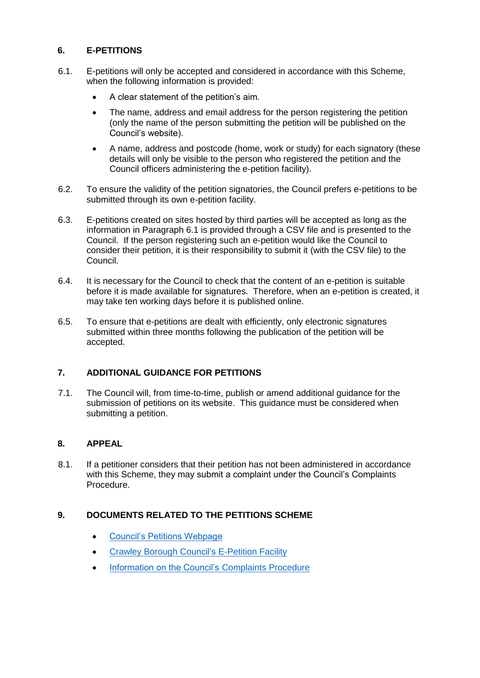## **6. E-PETITIONS**

- 6.1. E-petitions will only be accepted and considered in accordance with this Scheme, when the following information is provided:
	- A clear statement of the petition's aim.
	- The name, address and email address for the person registering the petition (only the name of the person submitting the petition will be published on the Council's website).
	- A name, address and postcode (home, work or study) for each signatory (these details will only be visible to the person who registered the petition and the Council officers administering the e-petition facility).
- 6.2. To ensure the validity of the petition signatories, the Council prefers e-petitions to be submitted through its own e-petition facility.
- 6.3. E-petitions created on sites hosted by third parties will be accepted as long as the information in Paragraph 6.1 is provided through a CSV file and is presented to the Council. If the person registering such an e-petition would like the Council to consider their petition, it is their responsibility to submit it (with the CSV file) to the Council.
- 6.4. It is necessary for the Council to check that the content of an e-petition is suitable before it is made available for signatures. Therefore, when an e-petition is created, it may take ten working days before it is published online.
- 6.5. To ensure that e-petitions are dealt with efficiently, only electronic signatures submitted within three months following the publication of the petition will be accepted.

# **7. ADDITIONAL GUIDANCE FOR PETITIONS**

7.1. The Council will, from time-to-time, publish or amend additional guidance for the submission of petitions on its website. This guidance must be considered when submitting a petition.

#### **8. APPEAL**

8.1. If a petitioner considers that their petition has not been administered in accordance with this Scheme, they may submit a complaint under the Council's Complaints Procedure.

#### **9. DOCUMENTS RELATED TO THE PETITIONS SCHEME**

- [Council's Petitions Webpage](https://democracy.crawley.gov.uk/mgEPetitionListDisplay.aspx?bcr=1)
- [Crawley Borough Council's E-Petition Facility](https://democracy.crawley.gov.uk/mgEPetitionListDisplay.aspx?bcr=1)
- [Information on the Council's Complaints Procedure](http://crawley.gov.uk/pw/TopNav/Contact_Us/index.htm)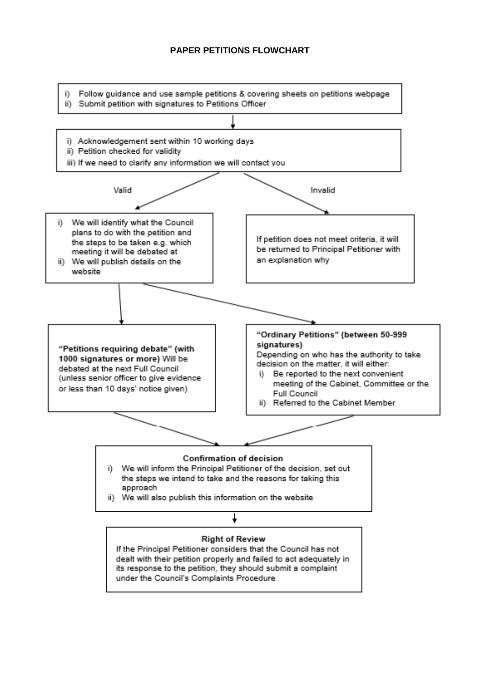## **PAPER PETITIONS FLOWCHART**